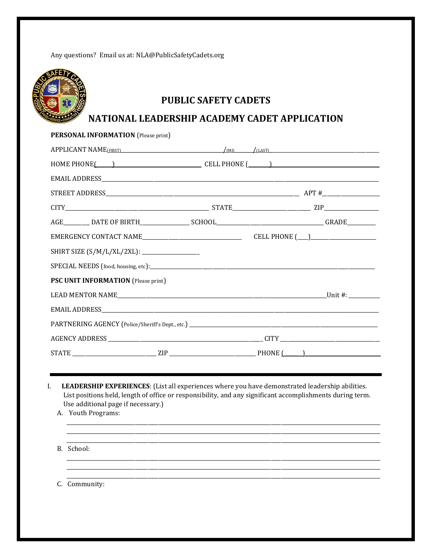Any questions? Email us at: NLA@PublicSafetyCadets.org



# **PUBLIC SAFETY CADETS**

## NATIONAL LEADERSHIP ACADEMY CADET APPLICATION

| PERSONAL INFORMATION (Please print)                |  |  |
|----------------------------------------------------|--|--|
| $APPLICANT NAME FIRST$ (MD $/(\mu n)$ $/(\mu s T)$ |  |  |
| HOME PHONE( ) CELL PHONE ( )                       |  |  |
|                                                    |  |  |
|                                                    |  |  |
|                                                    |  |  |
|                                                    |  |  |
|                                                    |  |  |
| SHIRT SIZE (S/M/L/XL/2XL): ____________________    |  |  |
|                                                    |  |  |
| PSC UNIT INFORMATION (Please print)                |  |  |
|                                                    |  |  |
|                                                    |  |  |
|                                                    |  |  |
|                                                    |  |  |
|                                                    |  |  |

- L. LEADERSHIP EXPERIENCES: (List all experiences where you have demonstrated leadership abilities. List positions held, length of office or responsibility, and any significant accomplishments during term. Use additional page if necessary.)
	- A. Youth Programs:
	- B. School:

C. Community: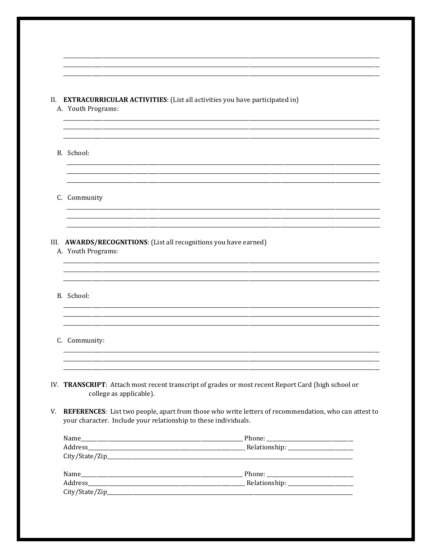#### II. EXTRACURRICULAR ACTIVITIES: (List all activities you have participated in)

- A. Youth Programs:
- B. School:
- C. Community

### III. AWARDS/RECOGNITIONS: (List all recognitions you have earned)

A. Youth Programs:

B. School:

#### C. Community:

- IV. TRANSCRIPT: Attach most recent transcript of grades or most recent Report Card (high school or college as applicable).
- V. REFERENCES: List two people, apart from those who write letters of recommendation, who can attest to your character. Include your relationship to these individuals.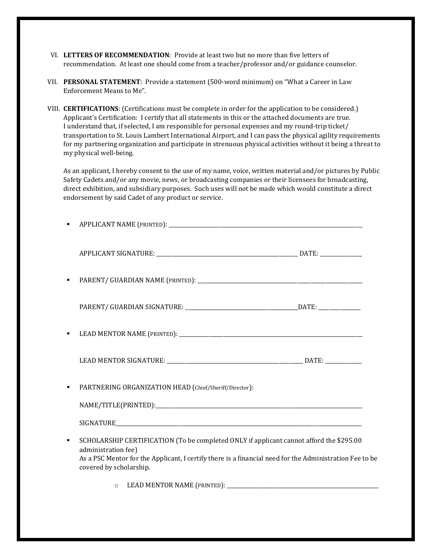- VI. **LETTERS OF RECOMMENDATION**: Provide at least two but no more than five letters of recommendation. At least one should come from a teacher/professor and/or guidance counselor.
- VII. **PERSONAL STATEMENT**: Provide a statement (500-word minimum) on "What a Career in Law Enforcement Means to Me".
- VIII. **CERTIFICATIONS**: (Certifications must be complete in order for the application to be considered.) Applicant's Certification: I certify that all statements in this or the attached documents are true. I understand that, if selected, I am responsible for personal expenses and my round-trip ticket/ transportation to St. Louis Lambert International Airport, and I can pass the physical agility requirements for my partnering organization and participate in strenuous physical activities without it being a threat to my physical well-being.

As an applicant, I hereby consent to the use of my name, voice, written material and/or pictures by Public Safety Cadets and/or any movie, news, or broadcasting companies or their licensees for broadcasting, direct exhibition, and subsidiary purposes. Such uses will not be made which would constitute a direct endorsement by said Cadet of any product or service.

|   | PARTNERING ORGANIZATION HEAD (Chief/Sheriff/Director):                                                                                                                                                                                               |
|---|------------------------------------------------------------------------------------------------------------------------------------------------------------------------------------------------------------------------------------------------------|
|   |                                                                                                                                                                                                                                                      |
| ٠ | SCHOLARSHIP CERTIFICATION (To be completed ONLY if applicant cannot afford the \$295.00<br>administration fee)<br>As a PSC Mentor for the Applicant, I certify there is a financial need for the Administration Fee to be<br>covered by scholarship. |
|   | LEAD MENTOR NAME (PRINTED):<br>$\circ$                                                                                                                                                                                                               |